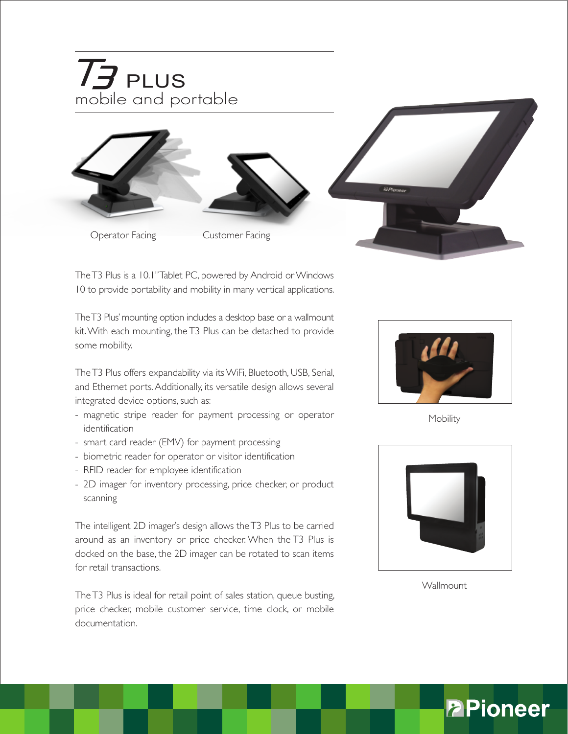

The T3 Plus is a 10.1" Tablet PC, powered by Android or Windows 10 to provide portability and mobility in many vertical applications.

The T3 Plus' mounting option includes a desktop base or a wallmount kit. With each mounting, the T3 Plus can be detached to provide some mobility.

The T3 Plus offers expandability via its WiFi, Bluetooth, USB, Serial, and Ethernet ports. Additionally, its versatile design allows several integrated device options, such as:

- magnetic stripe reader for payment processing or operator identification
- smart card reader (EMV) for payment processing
- biometric reader for operator or visitor identification
- RFID reader for employee identification
- 2D imager for inventory processing, price checker, or product scanning

The intelligent 2D imager's design allows the T3 Plus to be carried around as an inventory or price checker. When the T3 Plus is docked on the base, the 2D imager can be rotated to scan items for retail transactions.

The T3 Plus is ideal for retail point of sales station, queue busting, price checker, mobile customer service, time clock, or mobile documentation.



Mobility



**Wallmount**